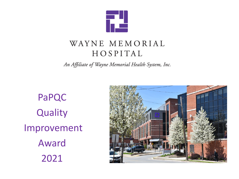

#### WAYNE MEMORIAL HOSPITAL

An Affiliate of Wayne Memorial Health System, Inc.

PaPQC **Quality** Improvement Award 2021

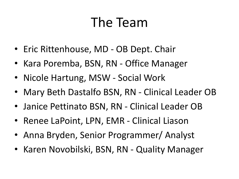# The Team

- Eric Rittenhouse, MD OB Dept. Chair
- Kara Poremba, BSN, RN Office Manager
- Nicole Hartung, MSW Social Work
- Mary Beth Dastalfo BSN, RN Clinical Leader OB
- Janice Pettinato BSN, RN Clinical Leader OB
- Renee LaPoint, LPN, EMR Clinical Liason
- Anna Bryden, Senior Programmer/ Analyst
- Karen Novobilski, BSN, RN Quality Manager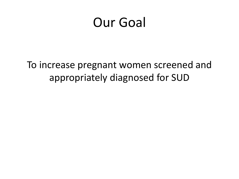#### Our Goal

To increase pregnant women screened and appropriately diagnosed for SUD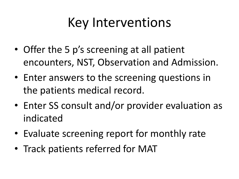# Key Interventions

- Offer the 5 p's screening at all patient encounters, NST, Observation and Admission.
- Enter answers to the screening questions in the patients medical record.
- Enter SS consult and/or provider evaluation as indicated
- Evaluate screening report for monthly rate
- Track patients referred for MAT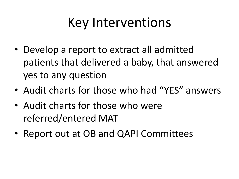## Key Interventions

- Develop a report to extract all admitted patients that delivered a baby, that answered yes to any question
- Audit charts for those who had "YES" answers
- Audit charts for those who were referred/entered MAT
- Report out at OB and QAPI Committees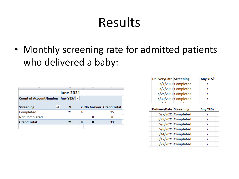# Results

• Monthly screening rate for admitted patients who delivered a baby:

| <b>June 2021</b>                  |        |   |   |                                |  |  |  |  |  |  |  |
|-----------------------------------|--------|---|---|--------------------------------|--|--|--|--|--|--|--|
| Count of AccountNumber Any YES? v |        |   |   |                                |  |  |  |  |  |  |  |
|                                   |        |   |   |                                |  |  |  |  |  |  |  |
| <b>Screening</b>                  | л<br>Ν |   |   | <b>Y</b> No Answer Grand Total |  |  |  |  |  |  |  |
| Completed                         | 21     | Δ |   | 25                             |  |  |  |  |  |  |  |
| Not Completed                     |        |   | 8 | 8                              |  |  |  |  |  |  |  |
| <b>Grand Total</b>                | 21     |   | 8 | 33                             |  |  |  |  |  |  |  |
|                                   |        |   |   |                                |  |  |  |  |  |  |  |

| <b>DeliveryDate Screening</b> |                     | Any YES? |
|-------------------------------|---------------------|----------|
|                               | 6/1/2021 Completed  |          |
|                               | 6/2/2021 Completed  |          |
|                               | 6/26/2021 Completed |          |
|                               | 6/30/2021 Completed |          |
| $r$ la lanas $\sim$           |                     |          |
| <b>DeliveryDate Screening</b> | Any YES?            |          |

| DeliveryDate Screening |                     | <b>Any YES?</b> |  |
|------------------------|---------------------|-----------------|--|
|                        | 5/7/2021 Completed  |                 |  |
|                        | 5/28/2021 Completed |                 |  |
|                        | 5/6/2021 Completed  | γ               |  |
|                        | 5/8/2021 Completed  | γ               |  |
|                        | 5/14/2021 Completed | γ               |  |
|                        | 5/17/2021 Completed |                 |  |
|                        | 5/22/2021 Completed |                 |  |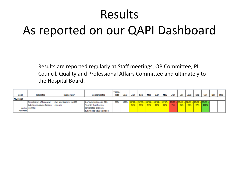# Results As reported on our QAPI Dashboard

Results are reported regularly at Staff meetings, OB Committee, PI Council, Quality and Professional Affairs Committee and ultimately to the Hospital Board.

|                |                        |                        |                         | Thres- |     |     |           |     |     |     |                                                                                                      |     |                  |     |      |     |       |
|----------------|------------------------|------------------------|-------------------------|--------|-----|-----|-----------|-----|-----|-----|------------------------------------------------------------------------------------------------------|-----|------------------|-----|------|-----|-------|
| Dept           | Indicator              | <b>Numerator</b>       | Denominator             | hold   | Goa | Jan | Feb       | Mar | Apr | May | Jun                                                                                                  | Jul | Aug              | Sep | Oct  | Nov | $Dec$ |
| <b>Nursing</b> |                        |                        |                         |        |     |     |           |     |     |     |                                                                                                      |     |                  |     |      |     |       |
|                | Completion of Prenatal | # of admissions to OBS | # of admissions to OBS  | 80%    |     |     |           |     |     |     | $100\%$   $36/39 =  21/22 =  34/35 =  30/34 =  32/37 =  25/33 =  39/43 =  32/33 =  29/30 =  33/33 =$ |     |                  |     |      |     |       |
|                | Substance Abuse Screen | l/month                | /month that have a      |        |     |     | 92%   95% | 97% | 88% | 86% | 76%                                                                                                  | 91% | $\frac{1}{24\%}$ | 97% | 100% |     |       |
|                | Janice (3/2021)        |                        | completed prenatal      |        |     |     |           |     |     |     |                                                                                                      |     |                  |     |      |     |       |
| Pettinato      |                        |                        | Isubstance abuse screen |        |     |     |           |     |     |     |                                                                                                      |     |                  |     |      |     |       |